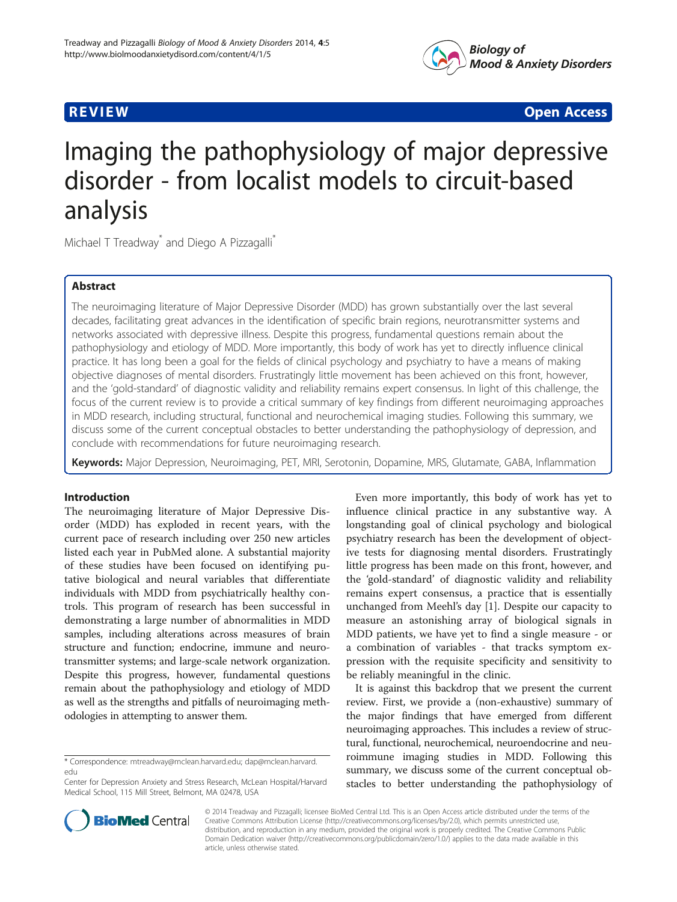

**REVIEW CONTROL** CONTROL CONTROL CONTROL CONTROL CONTROL CONTROL CONTROL CONTROL CONTROL CONTROL CONTROL CONTROL CONTROL CONTROL CONTROL CONTROL CONTROL CONTROL CONTROL CONTROL CONTROL CONTROL CONTROL CONTROL CONTROL CONTR

# Imaging the pathophysiology of major depressive disorder - from localist models to circuit-based analysis

Michael T Treadway<sup>\*</sup> and Diego A Pizzagalli<sup>\*</sup>

# Abstract

The neuroimaging literature of Major Depressive Disorder (MDD) has grown substantially over the last several decades, facilitating great advances in the identification of specific brain regions, neurotransmitter systems and networks associated with depressive illness. Despite this progress, fundamental questions remain about the pathophysiology and etiology of MDD. More importantly, this body of work has yet to directly influence clinical practice. It has long been a goal for the fields of clinical psychology and psychiatry to have a means of making objective diagnoses of mental disorders. Frustratingly little movement has been achieved on this front, however, and the 'gold-standard' of diagnostic validity and reliability remains expert consensus. In light of this challenge, the focus of the current review is to provide a critical summary of key findings from different neuroimaging approaches in MDD research, including structural, functional and neurochemical imaging studies. Following this summary, we discuss some of the current conceptual obstacles to better understanding the pathophysiology of depression, and conclude with recommendations for future neuroimaging research.

Keywords: Major Depression, Neuroimaging, PET, MRI, Serotonin, Dopamine, MRS, Glutamate, GABA, Inflammation

# Introduction

The neuroimaging literature of Major Depressive Disorder (MDD) has exploded in recent years, with the current pace of research including over 250 new articles listed each year in PubMed alone. A substantial majority of these studies have been focused on identifying putative biological and neural variables that differentiate individuals with MDD from psychiatrically healthy controls. This program of research has been successful in demonstrating a large number of abnormalities in MDD samples, including alterations across measures of brain structure and function; endocrine, immune and neurotransmitter systems; and large-scale network organization. Despite this progress, however, fundamental questions remain about the pathophysiology and etiology of MDD as well as the strengths and pitfalls of neuroimaging methodologies in attempting to answer them.

Even more importantly, this body of work has yet to influence clinical practice in any substantive way. A longstanding goal of clinical psychology and biological psychiatry research has been the development of objective tests for diagnosing mental disorders. Frustratingly little progress has been made on this front, however, and the 'gold-standard' of diagnostic validity and reliability remains expert consensus, a practice that is essentially unchanged from Meehl's day [[1\]](#page-9-0). Despite our capacity to measure an astonishing array of biological signals in MDD patients, we have yet to find a single measure - or a combination of variables - that tracks symptom expression with the requisite specificity and sensitivity to be reliably meaningful in the clinic.

It is against this backdrop that we present the current review. First, we provide a (non-exhaustive) summary of the major findings that have emerged from different neuroimaging approaches. This includes a review of structural, functional, neurochemical, neuroendocrine and neuroimmune imaging studies in MDD. Following this summary, we discuss some of the current conceptual obstacles to better understanding the pathophysiology of



© 2014 Treadway and Pizzagalli; licensee BioMed Central Ltd. This is an Open Access article distributed under the terms of the Creative Commons Attribution License (<http://creativecommons.org/licenses/by/2.0>), which permits unrestricted use, distribution, and reproduction in any medium, provided the original work is properly credited. The Creative Commons Public Domain Dedication waiver [\(http://creativecommons.org/publicdomain/zero/1.0/\)](http://creativecommons.org/publicdomain/zero/1.0/) applies to the data made available in this article, unless otherwise stated.

<sup>\*</sup> Correspondence: [mtreadway@mclean.harvard.edu](mailto:mtreadway@mclean.harvard.edu); [dap@mclean.harvard.](mailto:dap@mclean.harvard.edu) [edu](mailto:dap@mclean.harvard.edu)

Center for Depression Anxiety and Stress Research, McLean Hospital/Harvard Medical School, 115 Mill Street, Belmont, MA 02478, USA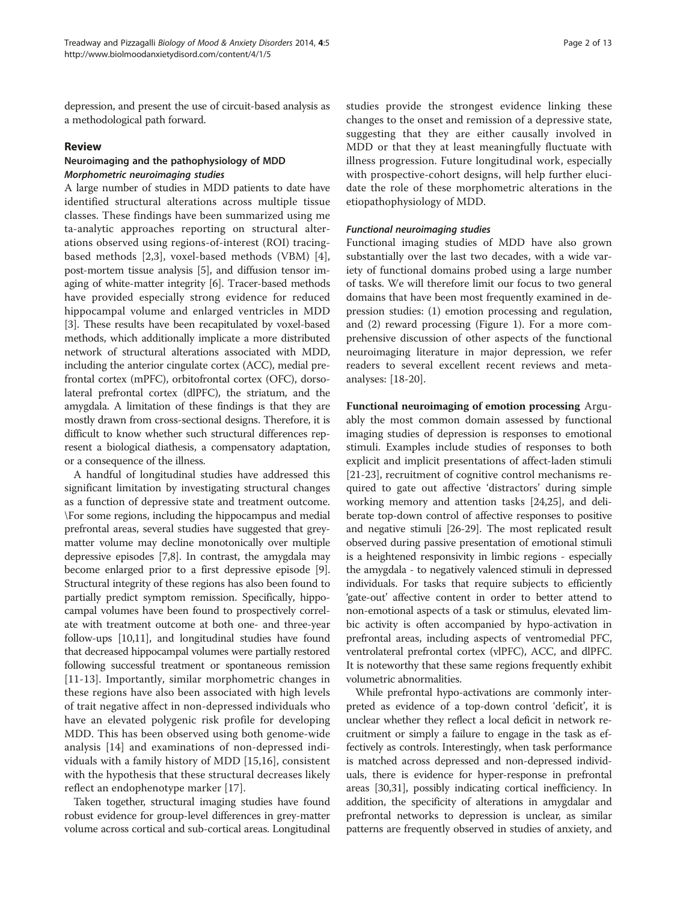depression, and present the use of circuit-based analysis as a methodological path forward.

### Review

# Neuroimaging and the pathophysiology of MDD Morphometric neuroimaging studies

A large number of studies in MDD patients to date have identified structural alterations across multiple tissue classes. These findings have been summarized using me ta-analytic approaches reporting on structural alterations observed using regions-of-interest (ROI) tracingbased methods [[2,3](#page-9-0)], voxel-based methods (VBM) [[4](#page-9-0)], post-mortem tissue analysis [[5](#page-9-0)], and diffusion tensor imaging of white-matter integrity [\[6\]](#page-9-0). Tracer-based methods have provided especially strong evidence for reduced hippocampal volume and enlarged ventricles in MDD [[3\]](#page-9-0). These results have been recapitulated by voxel-based methods, which additionally implicate a more distributed network of structural alterations associated with MDD, including the anterior cingulate cortex (ACC), medial prefrontal cortex (mPFC), orbitofrontal cortex (OFC), dorsolateral prefrontal cortex (dlPFC), the striatum, and the amygdala. A limitation of these findings is that they are mostly drawn from cross-sectional designs. Therefore, it is difficult to know whether such structural differences represent a biological diathesis, a compensatory adaptation, or a consequence of the illness.

A handful of longitudinal studies have addressed this significant limitation by investigating structural changes as a function of depressive state and treatment outcome. \For some regions, including the hippocampus and medial prefrontal areas, several studies have suggested that greymatter volume may decline monotonically over multiple depressive episodes [[7,8](#page-9-0)]. In contrast, the amygdala may become enlarged prior to a first depressive episode [[9](#page-9-0)]. Structural integrity of these regions has also been found to partially predict symptom remission. Specifically, hippocampal volumes have been found to prospectively correlate with treatment outcome at both one- and three-year follow-ups [[10,11](#page-9-0)], and longitudinal studies have found that decreased hippocampal volumes were partially restored following successful treatment or spontaneous remission [[11](#page-9-0)-[13\]](#page-9-0). Importantly, similar morphometric changes in these regions have also been associated with high levels of trait negative affect in non-depressed individuals who have an elevated polygenic risk profile for developing MDD. This has been observed using both genome-wide analysis [\[14](#page-9-0)] and examinations of non-depressed individuals with a family history of MDD [[15,16](#page-9-0)], consistent with the hypothesis that these structural decreases likely reflect an endophenotype marker [[17\]](#page-9-0).

Taken together, structural imaging studies have found robust evidence for group-level differences in grey-matter volume across cortical and sub-cortical areas. Longitudinal

studies provide the strongest evidence linking these changes to the onset and remission of a depressive state, suggesting that they are either causally involved in MDD or that they at least meaningfully fluctuate with illness progression. Future longitudinal work, especially with prospective-cohort designs, will help further elucidate the role of these morphometric alterations in the etiopathophysiology of MDD.

#### Functional neuroimaging studies

Functional imaging studies of MDD have also grown substantially over the last two decades, with a wide variety of functional domains probed using a large number of tasks. We will therefore limit our focus to two general domains that have been most frequently examined in depression studies: (1) emotion processing and regulation, and (2) reward processing (Figure [1](#page-2-0)). For a more comprehensive discussion of other aspects of the functional neuroimaging literature in major depression, we refer readers to several excellent recent reviews and metaanalyses: [\[18](#page-9-0)-[20](#page-9-0)].

Functional neuroimaging of emotion processing Arguably the most common domain assessed by functional imaging studies of depression is responses to emotional stimuli. Examples include studies of responses to both explicit and implicit presentations of affect-laden stimuli [[21-23](#page-9-0)], recruitment of cognitive control mechanisms required to gate out affective 'distractors' during simple working memory and attention tasks [[24](#page-9-0),[25](#page-9-0)], and deliberate top-down control of affective responses to positive and negative stimuli [\[26-29\]](#page-9-0). The most replicated result observed during passive presentation of emotional stimuli is a heightened responsivity in limbic regions - especially the amygdala - to negatively valenced stimuli in depressed individuals. For tasks that require subjects to efficiently 'gate-out' affective content in order to better attend to non-emotional aspects of a task or stimulus, elevated limbic activity is often accompanied by hypo-activation in prefrontal areas, including aspects of ventromedial PFC, ventrolateral prefrontal cortex (vlPFC), ACC, and dlPFC. It is noteworthy that these same regions frequently exhibit volumetric abnormalities.

While prefrontal hypo-activations are commonly interpreted as evidence of a top-down control 'deficit', it is unclear whether they reflect a local deficit in network recruitment or simply a failure to engage in the task as effectively as controls. Interestingly, when task performance is matched across depressed and non-depressed individuals, there is evidence for hyper-response in prefrontal areas [[30,31\]](#page-9-0), possibly indicating cortical inefficiency. In addition, the specificity of alterations in amygdalar and prefrontal networks to depression is unclear, as similar patterns are frequently observed in studies of anxiety, and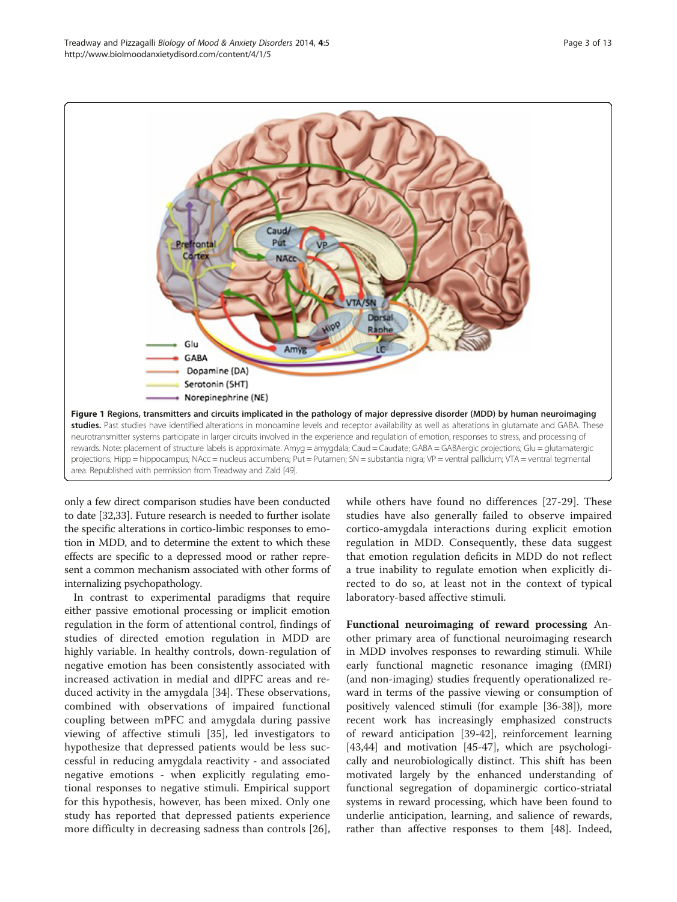<span id="page-2-0"></span>

only a few direct comparison studies have been conducted to date [\[32,33](#page-9-0)]. Future research is needed to further isolate the specific alterations in cortico-limbic responses to emotion in MDD, and to determine the extent to which these effects are specific to a depressed mood or rather represent a common mechanism associated with other forms of internalizing psychopathology.

In contrast to experimental paradigms that require either passive emotional processing or implicit emotion regulation in the form of attentional control, findings of studies of directed emotion regulation in MDD are highly variable. In healthy controls, down-regulation of negative emotion has been consistently associated with increased activation in medial and dlPFC areas and reduced activity in the amygdala [[34\]](#page-9-0). These observations, combined with observations of impaired functional coupling between mPFC and amygdala during passive viewing of affective stimuli [[35](#page-9-0)], led investigators to hypothesize that depressed patients would be less successful in reducing amygdala reactivity - and associated negative emotions - when explicitly regulating emotional responses to negative stimuli. Empirical support for this hypothesis, however, has been mixed. Only one study has reported that depressed patients experience more difficulty in decreasing sadness than controls [\[26](#page-9-0)],

while others have found no differences [\[27-29](#page-9-0)]. These studies have also generally failed to observe impaired cortico-amygdala interactions during explicit emotion regulation in MDD. Consequently, these data suggest that emotion regulation deficits in MDD do not reflect a true inability to regulate emotion when explicitly directed to do so, at least not in the context of typical laboratory-based affective stimuli.

Functional neuroimaging of reward processing Another primary area of functional neuroimaging research in MDD involves responses to rewarding stimuli. While early functional magnetic resonance imaging (fMRI) (and non-imaging) studies frequently operationalized reward in terms of the passive viewing or consumption of positively valenced stimuli (for example [[36-38](#page-10-0)]), more recent work has increasingly emphasized constructs of reward anticipation [[39](#page-10-0)-[42\]](#page-10-0), reinforcement learning [[43,44\]](#page-10-0) and motivation [[45-47\]](#page-10-0), which are psychologically and neurobiologically distinct. This shift has been motivated largely by the enhanced understanding of functional segregation of dopaminergic cortico-striatal systems in reward processing, which have been found to underlie anticipation, learning, and salience of rewards, rather than affective responses to them [[48](#page-10-0)]. Indeed,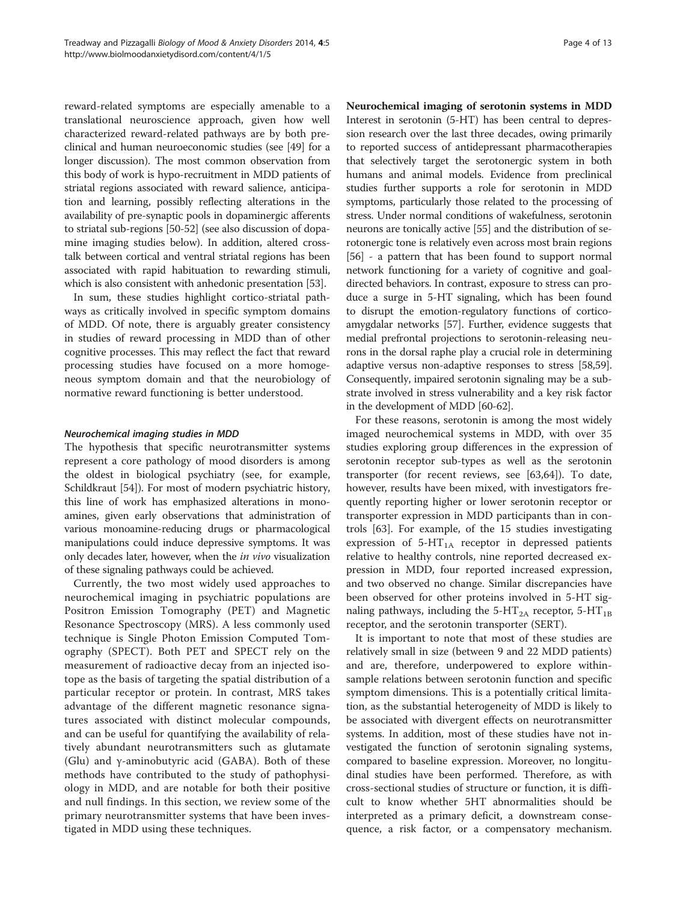reward-related symptoms are especially amenable to a translational neuroscience approach, given how well characterized reward-related pathways are by both preclinical and human neuroeconomic studies (see [[49](#page-10-0)] for a longer discussion). The most common observation from this body of work is hypo-recruitment in MDD patients of striatal regions associated with reward salience, anticipation and learning, possibly reflecting alterations in the availability of pre-synaptic pools in dopaminergic afferents to striatal sub-regions [\[50-52\]](#page-10-0) (see also discussion of dopamine imaging studies below). In addition, altered crosstalk between cortical and ventral striatal regions has been associated with rapid habituation to rewarding stimuli, which is also consistent with anhedonic presentation [\[53\]](#page-10-0).

In sum, these studies highlight cortico-striatal pathways as critically involved in specific symptom domains of MDD. Of note, there is arguably greater consistency in studies of reward processing in MDD than of other cognitive processes. This may reflect the fact that reward processing studies have focused on a more homogeneous symptom domain and that the neurobiology of normative reward functioning is better understood.

### Neurochemical imaging studies in MDD

The hypothesis that specific neurotransmitter systems represent a core pathology of mood disorders is among the oldest in biological psychiatry (see, for example, Schildkraut [[54](#page-10-0)]). For most of modern psychiatric history, this line of work has emphasized alterations in monoamines, given early observations that administration of various monoamine-reducing drugs or pharmacological manipulations could induce depressive symptoms. It was only decades later, however, when the in vivo visualization of these signaling pathways could be achieved.

Currently, the two most widely used approaches to neurochemical imaging in psychiatric populations are Positron Emission Tomography (PET) and Magnetic Resonance Spectroscopy (MRS). A less commonly used technique is Single Photon Emission Computed Tomography (SPECT). Both PET and SPECT rely on the measurement of radioactive decay from an injected isotope as the basis of targeting the spatial distribution of a particular receptor or protein. In contrast, MRS takes advantage of the different magnetic resonance signatures associated with distinct molecular compounds, and can be useful for quantifying the availability of relatively abundant neurotransmitters such as glutamate (Glu) and γ-aminobutyric acid (GABA). Both of these methods have contributed to the study of pathophysiology in MDD, and are notable for both their positive and null findings. In this section, we review some of the primary neurotransmitter systems that have been investigated in MDD using these techniques.

Neurochemical imaging of serotonin systems in MDD Interest in serotonin (5-HT) has been central to depression research over the last three decades, owing primarily to reported success of antidepressant pharmacotherapies that selectively target the serotonergic system in both humans and animal models. Evidence from preclinical studies further supports a role for serotonin in MDD symptoms, particularly those related to the processing of stress. Under normal conditions of wakefulness, serotonin neurons are tonically active [[55](#page-10-0)] and the distribution of serotonergic tone is relatively even across most brain regions [[56](#page-10-0)] - a pattern that has been found to support normal network functioning for a variety of cognitive and goaldirected behaviors. In contrast, exposure to stress can produce a surge in 5-HT signaling, which has been found to disrupt the emotion-regulatory functions of corticoamygdalar networks [\[57\]](#page-10-0). Further, evidence suggests that medial prefrontal projections to serotonin-releasing neurons in the dorsal raphe play a crucial role in determining adaptive versus non-adaptive responses to stress [\[58,59](#page-10-0)]. Consequently, impaired serotonin signaling may be a substrate involved in stress vulnerability and a key risk factor in the development of MDD [[60-62\]](#page-10-0).

For these reasons, serotonin is among the most widely imaged neurochemical systems in MDD, with over 35 studies exploring group differences in the expression of serotonin receptor sub-types as well as the serotonin transporter (for recent reviews, see [\[63,64](#page-10-0)]). To date, however, results have been mixed, with investigators frequently reporting higher or lower serotonin receptor or transporter expression in MDD participants than in controls [[63\]](#page-10-0). For example, of the 15 studies investigating expression of  $5-HT_{1A}$  receptor in depressed patients relative to healthy controls, nine reported decreased expression in MDD, four reported increased expression, and two observed no change. Similar discrepancies have been observed for other proteins involved in 5-HT signaling pathways, including the  $5-HT_{2A}$  receptor,  $5-HT_{1B}$ receptor, and the serotonin transporter (SERT).

It is important to note that most of these studies are relatively small in size (between 9 and 22 MDD patients) and are, therefore, underpowered to explore withinsample relations between serotonin function and specific symptom dimensions. This is a potentially critical limitation, as the substantial heterogeneity of MDD is likely to be associated with divergent effects on neurotransmitter systems. In addition, most of these studies have not investigated the function of serotonin signaling systems, compared to baseline expression. Moreover, no longitudinal studies have been performed. Therefore, as with cross-sectional studies of structure or function, it is difficult to know whether 5HT abnormalities should be interpreted as a primary deficit, a downstream consequence, a risk factor, or a compensatory mechanism.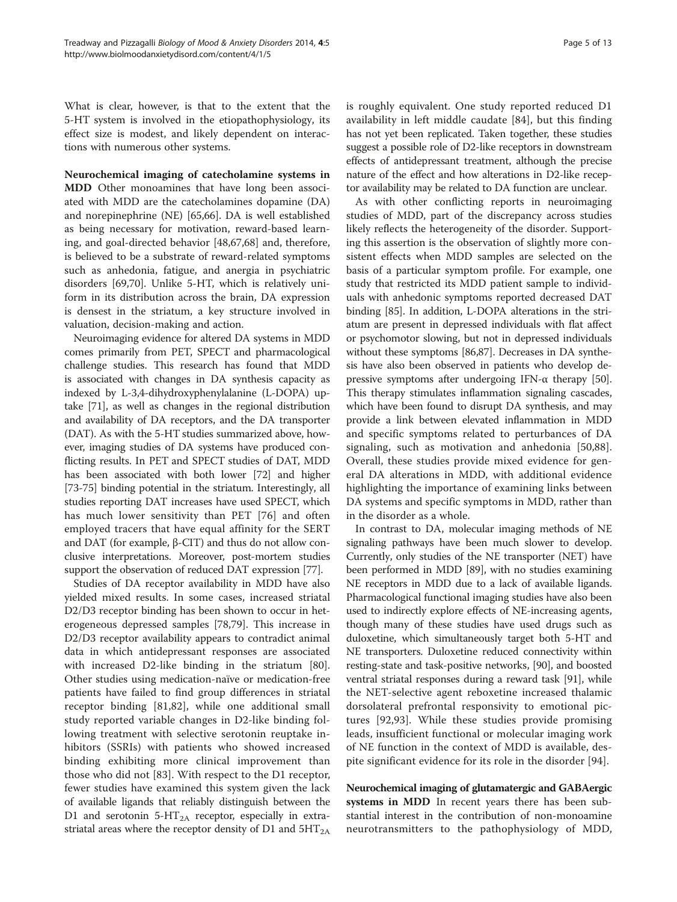What is clear, however, is that to the extent that the 5-HT system is involved in the etiopathophysiology, its effect size is modest, and likely dependent on interactions with numerous other systems.

Neurochemical imaging of catecholamine systems in MDD Other monoamines that have long been associated with MDD are the catecholamines dopamine (DA) and norepinephrine (NE) [[65,66\]](#page-10-0). DA is well established as being necessary for motivation, reward-based learning, and goal-directed behavior [\[48,67,68\]](#page-10-0) and, therefore, is believed to be a substrate of reward-related symptoms such as anhedonia, fatigue, and anergia in psychiatric disorders [[69,70](#page-10-0)]. Unlike 5-HT, which is relatively uniform in its distribution across the brain, DA expression is densest in the striatum, a key structure involved in valuation, decision-making and action.

Neuroimaging evidence for altered DA systems in MDD comes primarily from PET, SPECT and pharmacological challenge studies. This research has found that MDD is associated with changes in DA synthesis capacity as indexed by L-3,4-dihydroxyphenylalanine (L-DOPA) uptake [\[71\]](#page-10-0), as well as changes in the regional distribution and availability of DA receptors, and the DA transporter (DAT). As with the 5-HT studies summarized above, however, imaging studies of DA systems have produced conflicting results. In PET and SPECT studies of DAT, MDD has been associated with both lower [[72](#page-10-0)] and higher [[73](#page-10-0)-[75](#page-10-0)] binding potential in the striatum. Interestingly, all studies reporting DAT increases have used SPECT, which has much lower sensitivity than PET [[76](#page-10-0)] and often employed tracers that have equal affinity for the SERT and DAT (for example, β-CIT) and thus do not allow conclusive interpretations. Moreover, post-mortem studies support the observation of reduced DAT expression [[77](#page-10-0)].

Studies of DA receptor availability in MDD have also yielded mixed results. In some cases, increased striatal D2/D3 receptor binding has been shown to occur in heterogeneous depressed samples [\[78,79](#page-10-0)]. This increase in D2/D3 receptor availability appears to contradict animal data in which antidepressant responses are associated with increased D2-like binding in the striatum [\[80](#page-10-0)]. Other studies using medication-naïve or medication-free patients have failed to find group differences in striatal receptor binding [\[81](#page-10-0),[82\]](#page-10-0), while one additional small study reported variable changes in D2-like binding following treatment with selective serotonin reuptake inhibitors (SSRIs) with patients who showed increased binding exhibiting more clinical improvement than those who did not [[83\]](#page-10-0). With respect to the D1 receptor, fewer studies have examined this system given the lack of available ligands that reliably distinguish between the D1 and serotonin 5-HT<sub>2A</sub> receptor, especially in extrastriatal areas where the receptor density of D1 and  $5HT<sub>2A</sub>$  is roughly equivalent. One study reported reduced D1 availability in left middle caudate [\[84](#page-11-0)], but this finding has not yet been replicated. Taken together, these studies suggest a possible role of D2-like receptors in downstream effects of antidepressant treatment, although the precise nature of the effect and how alterations in D2-like receptor availability may be related to DA function are unclear.

As with other conflicting reports in neuroimaging studies of MDD, part of the discrepancy across studies likely reflects the heterogeneity of the disorder. Supporting this assertion is the observation of slightly more consistent effects when MDD samples are selected on the basis of a particular symptom profile. For example, one study that restricted its MDD patient sample to individuals with anhedonic symptoms reported decreased DAT binding [[85](#page-11-0)]. In addition, L-DOPA alterations in the striatum are present in depressed individuals with flat affect or psychomotor slowing, but not in depressed individuals without these symptoms [\[86,87\]](#page-11-0). Decreases in DA synthesis have also been observed in patients who develop depressive symptoms after undergoing IFN- $\alpha$  therapy [[50](#page-10-0)]. This therapy stimulates inflammation signaling cascades, which have been found to disrupt DA synthesis, and may provide a link between elevated inflammation in MDD and specific symptoms related to perturbances of DA signaling, such as motivation and anhedonia [[50](#page-10-0)[,88](#page-11-0)]. Overall, these studies provide mixed evidence for general DA alterations in MDD, with additional evidence highlighting the importance of examining links between DA systems and specific symptoms in MDD, rather than in the disorder as a whole.

In contrast to DA, molecular imaging methods of NE signaling pathways have been much slower to develop. Currently, only studies of the NE transporter (NET) have been performed in MDD [\[89\]](#page-11-0), with no studies examining NE receptors in MDD due to a lack of available ligands. Pharmacological functional imaging studies have also been used to indirectly explore effects of NE-increasing agents, though many of these studies have used drugs such as duloxetine, which simultaneously target both 5-HT and NE transporters. Duloxetine reduced connectivity within resting-state and task-positive networks, [[90](#page-11-0)], and boosted ventral striatal responses during a reward task [\[91\]](#page-11-0), while the NET-selective agent reboxetine increased thalamic dorsolateral prefrontal responsivity to emotional pictures [\[92](#page-11-0),[93\]](#page-11-0). While these studies provide promising leads, insufficient functional or molecular imaging work of NE function in the context of MDD is available, despite significant evidence for its role in the disorder [\[94](#page-11-0)].

Neurochemical imaging of glutamatergic and GABAergic systems in MDD In recent years there has been substantial interest in the contribution of non-monoamine neurotransmitters to the pathophysiology of MDD,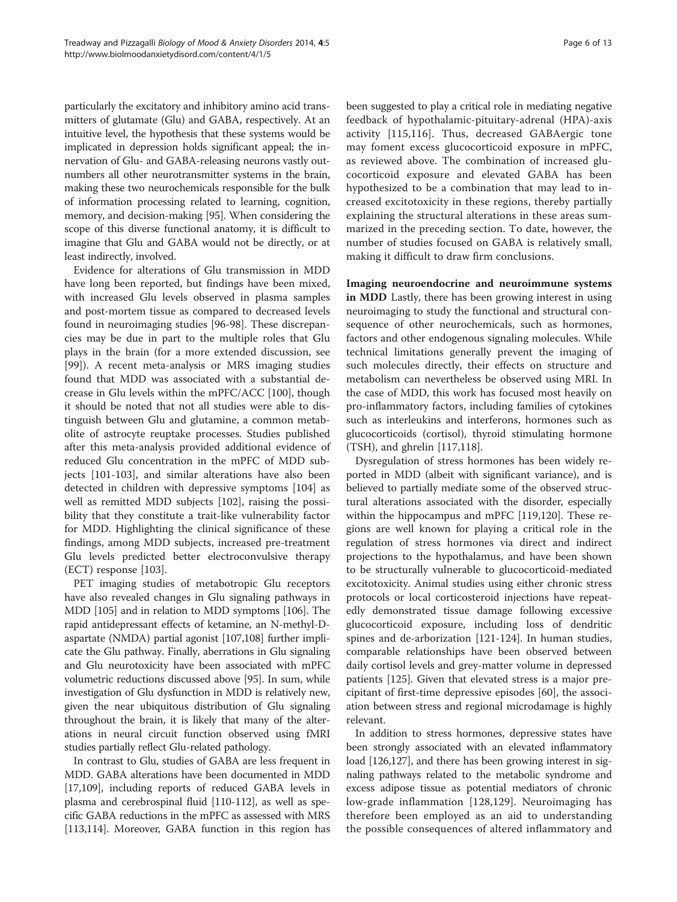particularly the excitatory and inhibitory amino acid transmitters of glutamate (Glu) and GABA, respectively. At an intuitive level, the hypothesis that these systems would be implicated in depression holds significant appeal; the innervation of Glu- and GABA-releasing neurons vastly outnumbers all other neurotransmitter systems in the brain, making these two neurochemicals responsible for the bulk of information processing related to learning, cognition, memory, and decision-making [\[95\]](#page-11-0). When considering the scope of this diverse functional anatomy, it is difficult to imagine that Glu and GABA would not be directly, or at least indirectly, involved.

Evidence for alterations of Glu transmission in MDD have long been reported, but findings have been mixed, with increased Glu levels observed in plasma samples and post-mortem tissue as compared to decreased levels found in neuroimaging studies [[96-98](#page-11-0)]. These discrepancies may be due in part to the multiple roles that Glu plays in the brain (for a more extended discussion, see [[99\]](#page-11-0)). A recent meta-analysis or MRS imaging studies found that MDD was associated with a substantial decrease in Glu levels within the mPFC/ACC [[100](#page-11-0)], though it should be noted that not all studies were able to distinguish between Glu and glutamine, a common metabolite of astrocyte reuptake processes. Studies published after this meta-analysis provided additional evidence of reduced Glu concentration in the mPFC of MDD subjects [\[101-103](#page-11-0)], and similar alterations have also been detected in children with depressive symptoms [[104](#page-11-0)] as well as remitted MDD subjects [[102\]](#page-11-0), raising the possibility that they constitute a trait-like vulnerability factor for MDD. Highlighting the clinical significance of these findings, among MDD subjects, increased pre-treatment Glu levels predicted better electroconvulsive therapy (ECT) response [[103\]](#page-11-0).

PET imaging studies of metabotropic Glu receptors have also revealed changes in Glu signaling pathways in MDD [[105](#page-11-0)] and in relation to MDD symptoms [\[106\]](#page-11-0). The rapid antidepressant effects of ketamine, an N-methyl-Daspartate (NMDA) partial agonist [\[107,108](#page-11-0)] further implicate the Glu pathway. Finally, aberrations in Glu signaling and Glu neurotoxicity have been associated with mPFC volumetric reductions discussed above [[95](#page-11-0)]. In sum, while investigation of Glu dysfunction in MDD is relatively new, given the near ubiquitous distribution of Glu signaling throughout the brain, it is likely that many of the alterations in neural circuit function observed using fMRI studies partially reflect Glu-related pathology.

In contrast to Glu, studies of GABA are less frequent in MDD. GABA alterations have been documented in MDD [[17](#page-9-0)[,109\]](#page-11-0), including reports of reduced GABA levels in plasma and cerebrospinal fluid [\[110-112](#page-11-0)], as well as specific GABA reductions in the mPFC as assessed with MRS [[113,114\]](#page-11-0). Moreover, GABA function in this region has been suggested to play a critical role in mediating negative feedback of hypothalamic-pituitary-adrenal (HPA)-axis activity [\[115](#page-11-0),[116\]](#page-11-0). Thus, decreased GABAergic tone may foment excess glucocorticoid exposure in mPFC, as reviewed above. The combination of increased glucocorticoid exposure and elevated GABA has been hypothesized to be a combination that may lead to increased excitotoxicity in these regions, thereby partially explaining the structural alterations in these areas summarized in the preceding section. To date, however, the number of studies focused on GABA is relatively small, making it difficult to draw firm conclusions.

Imaging neuroendocrine and neuroimmune systems in MDD Lastly, there has been growing interest in using neuroimaging to study the functional and structural consequence of other neurochemicals, such as hormones, factors and other endogenous signaling molecules. While technical limitations generally prevent the imaging of such molecules directly, their effects on structure and metabolism can nevertheless be observed using MRI. In the case of MDD, this work has focused most heavily on pro-inflammatory factors, including families of cytokines such as interleukins and interferons, hormones such as glucocorticoids (cortisol), thyroid stimulating hormone (TSH), and ghrelin [\[117,118\]](#page-11-0).

Dysregulation of stress hormones has been widely reported in MDD (albeit with significant variance), and is believed to partially mediate some of the observed structural alterations associated with the disorder, especially within the hippocampus and mPFC [[119,120](#page-11-0)]. These regions are well known for playing a critical role in the regulation of stress hormones via direct and indirect projections to the hypothalamus, and have been shown to be structurally vulnerable to glucocorticoid-mediated excitotoxicity. Animal studies using either chronic stress protocols or local corticosteroid injections have repeatedly demonstrated tissue damage following excessive glucocorticoid exposure, including loss of dendritic spines and de-arborization [[121](#page-11-0)-[124\]](#page-11-0). In human studies, comparable relationships have been observed between daily cortisol levels and grey-matter volume in depressed patients [[125](#page-11-0)]. Given that elevated stress is a major precipitant of first-time depressive episodes [[60](#page-10-0)], the association between stress and regional microdamage is highly relevant.

In addition to stress hormones, depressive states have been strongly associated with an elevated inflammatory load [[126,127](#page-11-0)], and there has been growing interest in signaling pathways related to the metabolic syndrome and excess adipose tissue as potential mediators of chronic low-grade inflammation [\[128](#page-12-0),[129\]](#page-12-0). Neuroimaging has therefore been employed as an aid to understanding the possible consequences of altered inflammatory and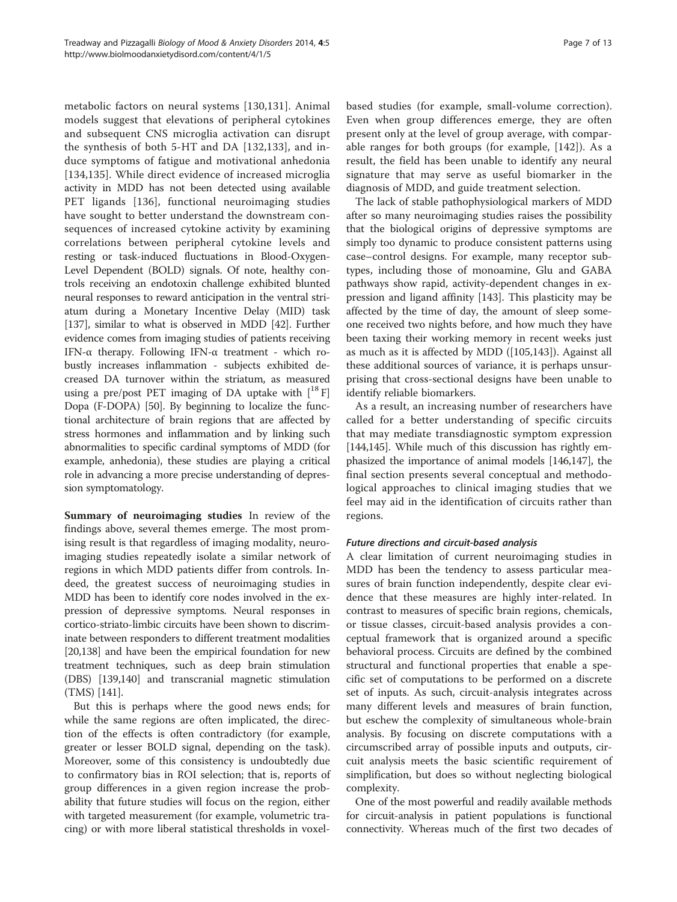metabolic factors on neural systems [[130,131](#page-12-0)]. Animal models suggest that elevations of peripheral cytokines and subsequent CNS microglia activation can disrupt the synthesis of both 5-HT and DA [\[132,133](#page-12-0)], and induce symptoms of fatigue and motivational anhedonia [[134,135\]](#page-12-0). While direct evidence of increased microglia activity in MDD has not been detected using available PET ligands [[136\]](#page-12-0), functional neuroimaging studies have sought to better understand the downstream consequences of increased cytokine activity by examining correlations between peripheral cytokine levels and resting or task-induced fluctuations in Blood-Oxygen-Level Dependent (BOLD) signals. Of note, healthy controls receiving an endotoxin challenge exhibited blunted neural responses to reward anticipation in the ventral striatum during a Monetary Incentive Delay (MID) task [[137](#page-12-0)], similar to what is observed in MDD [[42](#page-10-0)]. Further evidence comes from imaging studies of patients receiving IFN-α therapy. Following IFN-α treatment - which robustly increases inflammation - subjects exhibited decreased DA turnover within the striatum, as measured using a pre/post PET imaging of DA uptake with  $[18 F]$ Dopa (F-DOPA) [[50](#page-10-0)]. By beginning to localize the functional architecture of brain regions that are affected by stress hormones and inflammation and by linking such abnormalities to specific cardinal symptoms of MDD (for example, anhedonia), these studies are playing a critical role in advancing a more precise understanding of depression symptomatology.

Summary of neuroimaging studies In review of the findings above, several themes emerge. The most promising result is that regardless of imaging modality, neuroimaging studies repeatedly isolate a similar network of regions in which MDD patients differ from controls. Indeed, the greatest success of neuroimaging studies in MDD has been to identify core nodes involved in the expression of depressive symptoms. Neural responses in cortico-striato-limbic circuits have been shown to discriminate between responders to different treatment modalities [[20](#page-9-0)[,138\]](#page-12-0) and have been the empirical foundation for new treatment techniques, such as deep brain stimulation (DBS) [[139,140](#page-12-0)] and transcranial magnetic stimulation  $(TMS)$  [[141](#page-12-0)].

But this is perhaps where the good news ends; for while the same regions are often implicated, the direction of the effects is often contradictory (for example, greater or lesser BOLD signal, depending on the task). Moreover, some of this consistency is undoubtedly due to confirmatory bias in ROI selection; that is, reports of group differences in a given region increase the probability that future studies will focus on the region, either with targeted measurement (for example, volumetric tracing) or with more liberal statistical thresholds in voxelbased studies (for example, small-volume correction). Even when group differences emerge, they are often present only at the level of group average, with comparable ranges for both groups (for example, [\[142](#page-12-0)]). As a result, the field has been unable to identify any neural signature that may serve as useful biomarker in the diagnosis of MDD, and guide treatment selection.

The lack of stable pathophysiological markers of MDD after so many neuroimaging studies raises the possibility that the biological origins of depressive symptoms are simply too dynamic to produce consistent patterns using case–control designs. For example, many receptor subtypes, including those of monoamine, Glu and GABA pathways show rapid, activity-dependent changes in expression and ligand affinity [[143\]](#page-12-0). This plasticity may be affected by the time of day, the amount of sleep someone received two nights before, and how much they have been taxing their working memory in recent weeks just as much as it is affected by MDD ([[105,](#page-11-0)[143\]](#page-12-0)). Against all these additional sources of variance, it is perhaps unsurprising that cross-sectional designs have been unable to identify reliable biomarkers.

As a result, an increasing number of researchers have called for a better understanding of specific circuits that may mediate transdiagnostic symptom expression [[144,145\]](#page-12-0). While much of this discussion has rightly emphasized the importance of animal models [\[146,147](#page-12-0)], the final section presents several conceptual and methodological approaches to clinical imaging studies that we feel may aid in the identification of circuits rather than regions.

# Future directions and circuit-based analysis

A clear limitation of current neuroimaging studies in MDD has been the tendency to assess particular measures of brain function independently, despite clear evidence that these measures are highly inter-related. In contrast to measures of specific brain regions, chemicals, or tissue classes, circuit-based analysis provides a conceptual framework that is organized around a specific behavioral process. Circuits are defined by the combined structural and functional properties that enable a specific set of computations to be performed on a discrete set of inputs. As such, circuit-analysis integrates across many different levels and measures of brain function, but eschew the complexity of simultaneous whole-brain analysis. By focusing on discrete computations with a circumscribed array of possible inputs and outputs, circuit analysis meets the basic scientific requirement of simplification, but does so without neglecting biological complexity.

One of the most powerful and readily available methods for circuit-analysis in patient populations is functional connectivity. Whereas much of the first two decades of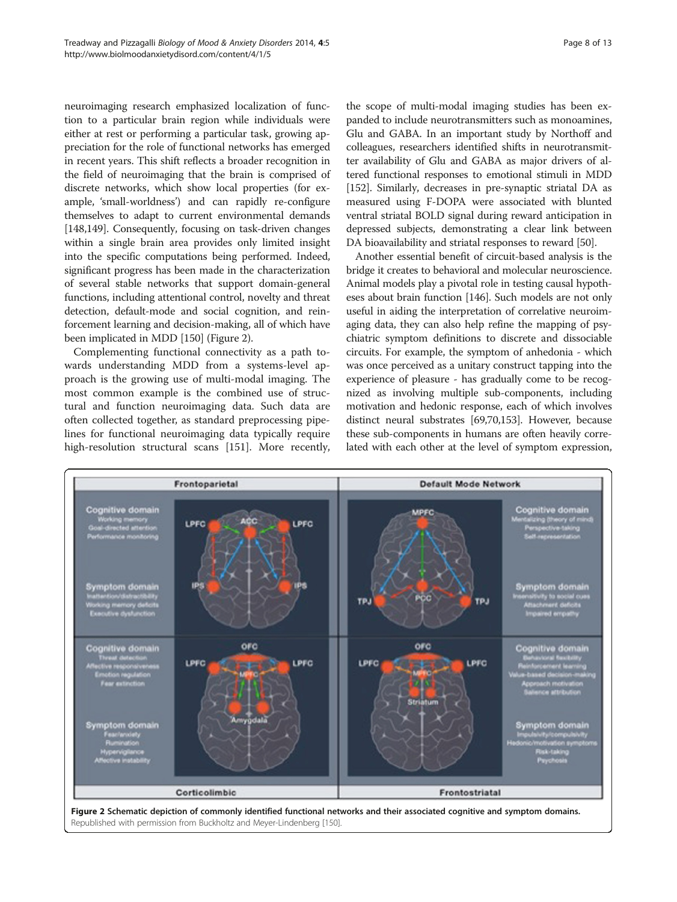neuroimaging research emphasized localization of function to a particular brain region while individuals were either at rest or performing a particular task, growing appreciation for the role of functional networks has emerged in recent years. This shift reflects a broader recognition in the field of neuroimaging that the brain is comprised of discrete networks, which show local properties (for example, 'small-worldness') and can rapidly re-configure themselves to adapt to current environmental demands [[148,149\]](#page-12-0). Consequently, focusing on task-driven changes within a single brain area provides only limited insight into the specific computations being performed. Indeed, significant progress has been made in the characterization of several stable networks that support domain-general functions, including attentional control, novelty and threat detection, default-mode and social cognition, and reinforcement learning and decision-making, all of which have been implicated in MDD [[150](#page-12-0)] (Figure 2).

Complementing functional connectivity as a path towards understanding MDD from a systems-level approach is the growing use of multi-modal imaging. The most common example is the combined use of structural and function neuroimaging data. Such data are often collected together, as standard preprocessing pipelines for functional neuroimaging data typically require high-resolution structural scans [[151](#page-12-0)]. More recently,

the scope of multi-modal imaging studies has been expanded to include neurotransmitters such as monoamines, Glu and GABA. In an important study by Northoff and colleagues, researchers identified shifts in neurotransmitter availability of Glu and GABA as major drivers of altered functional responses to emotional stimuli in MDD [[152](#page-12-0)]. Similarly, decreases in pre-synaptic striatal DA as measured using F-DOPA were associated with blunted ventral striatal BOLD signal during reward anticipation in depressed subjects, demonstrating a clear link between DA bioavailability and striatal responses to reward [\[50](#page-10-0)].

Another essential benefit of circuit-based analysis is the bridge it creates to behavioral and molecular neuroscience. Animal models play a pivotal role in testing causal hypotheses about brain function [[146](#page-12-0)]. Such models are not only useful in aiding the interpretation of correlative neuroimaging data, they can also help refine the mapping of psychiatric symptom definitions to discrete and dissociable circuits. For example, the symptom of anhedonia - which was once perceived as a unitary construct tapping into the experience of pleasure - has gradually come to be recognized as involving multiple sub-components, including motivation and hedonic response, each of which involves distinct neural substrates [\[69,70](#page-10-0)[,153\]](#page-12-0). However, because these sub-components in humans are often heavily correlated with each other at the level of symptom expression,



Figure 2 Schematic depiction of commonly identified functional networks and their associated cognitive and symptom domains. Republished with permission from Buckholtz and Meyer-Lindenberg [[150](#page-12-0)].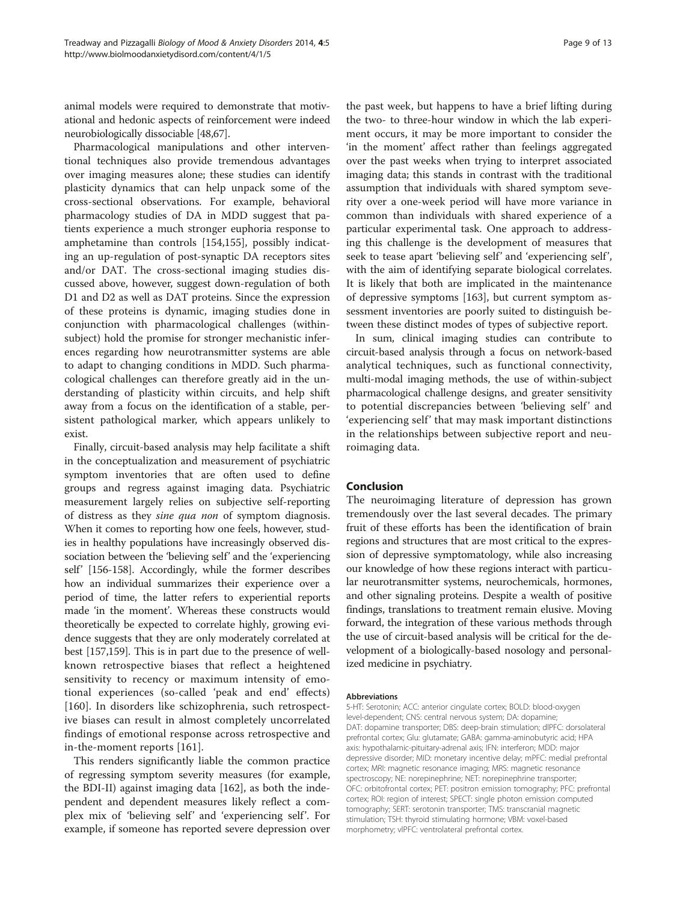animal models were required to demonstrate that motivational and hedonic aspects of reinforcement were indeed

neurobiologically dissociable [\[48,67](#page-10-0)]. Pharmacological manipulations and other interventional techniques also provide tremendous advantages over imaging measures alone; these studies can identify plasticity dynamics that can help unpack some of the cross-sectional observations. For example, behavioral pharmacology studies of DA in MDD suggest that patients experience a much stronger euphoria response to amphetamine than controls [[154,155](#page-12-0)], possibly indicating an up-regulation of post-synaptic DA receptors sites and/or DAT. The cross-sectional imaging studies discussed above, however, suggest down-regulation of both D1 and D2 as well as DAT proteins. Since the expression of these proteins is dynamic, imaging studies done in conjunction with pharmacological challenges (withinsubject) hold the promise for stronger mechanistic inferences regarding how neurotransmitter systems are able to adapt to changing conditions in MDD. Such pharmacological challenges can therefore greatly aid in the understanding of plasticity within circuits, and help shift away from a focus on the identification of a stable, persistent pathological marker, which appears unlikely to exist.

Finally, circuit-based analysis may help facilitate a shift in the conceptualization and measurement of psychiatric symptom inventories that are often used to define groups and regress against imaging data. Psychiatric measurement largely relies on subjective self-reporting of distress as they sine qua non of symptom diagnosis. When it comes to reporting how one feels, however, studies in healthy populations have increasingly observed dissociation between the 'believing self' and the 'experiencing self' [[156](#page-12-0)-[158](#page-12-0)]. Accordingly, while the former describes how an individual summarizes their experience over a period of time, the latter refers to experiential reports made 'in the moment'. Whereas these constructs would theoretically be expected to correlate highly, growing evidence suggests that they are only moderately correlated at best [[157,159\]](#page-12-0). This is in part due to the presence of wellknown retrospective biases that reflect a heightened sensitivity to recency or maximum intensity of emotional experiences (so-called 'peak and end' effects) [[160](#page-12-0)]. In disorders like schizophrenia, such retrospective biases can result in almost completely uncorrelated findings of emotional response across retrospective and in-the-moment reports [[161\]](#page-12-0).

This renders significantly liable the common practice of regressing symptom severity measures (for example, the BDI-II) against imaging data [[162](#page-12-0)], as both the independent and dependent measures likely reflect a complex mix of 'believing self' and 'experiencing self'. For example, if someone has reported severe depression over

the past week, but happens to have a brief lifting during the two- to three-hour window in which the lab experiment occurs, it may be more important to consider the 'in the moment' affect rather than feelings aggregated over the past weeks when trying to interpret associated imaging data; this stands in contrast with the traditional assumption that individuals with shared symptom severity over a one-week period will have more variance in common than individuals with shared experience of a particular experimental task. One approach to addressing this challenge is the development of measures that seek to tease apart 'believing self' and 'experiencing self', with the aim of identifying separate biological correlates. It is likely that both are implicated in the maintenance of depressive symptoms [\[163](#page-12-0)], but current symptom assessment inventories are poorly suited to distinguish between these distinct modes of types of subjective report.

In sum, clinical imaging studies can contribute to circuit-based analysis through a focus on network-based analytical techniques, such as functional connectivity, multi-modal imaging methods, the use of within-subject pharmacological challenge designs, and greater sensitivity to potential discrepancies between 'believing self' and 'experiencing self' that may mask important distinctions in the relationships between subjective report and neuroimaging data.

# Conclusion

The neuroimaging literature of depression has grown tremendously over the last several decades. The primary fruit of these efforts has been the identification of brain regions and structures that are most critical to the expression of depressive symptomatology, while also increasing our knowledge of how these regions interact with particular neurotransmitter systems, neurochemicals, hormones, and other signaling proteins. Despite a wealth of positive findings, translations to treatment remain elusive. Moving forward, the integration of these various methods through the use of circuit-based analysis will be critical for the development of a biologically-based nosology and personalized medicine in psychiatry.

#### Abbreviations

5-HT: Serotonin; ACC: anterior cingulate cortex; BOLD: blood-oxygen level-dependent; CNS: central nervous system; DA: dopamine; DAT: dopamine transporter; DBS: deep-brain stimulation; dlPFC: dorsolateral prefrontal cortex; Glu: glutamate; GABA: gamma-aminobutyric acid; HPA axis: hypothalamic-pituitary-adrenal axis; IFN: interferon; MDD: major depressive disorder; MID: monetary incentive delay; mPFC: medial prefrontal cortex; MRI: magnetic resonance imaging; MRS: magnetic resonance spectroscopy; NE: norepinephrine; NET: norepinephrine transporter; OFC: orbitofrontal cortex; PET: positron emission tomography; PFC: prefrontal cortex; ROI: region of interest; SPECT: single photon emission computed tomography; SERT: serotonin transporter; TMS: transcranial magnetic stimulation; TSH: thyroid stimulating hormone; VBM: voxel-based morphometry; vlPFC: ventrolateral prefrontal cortex.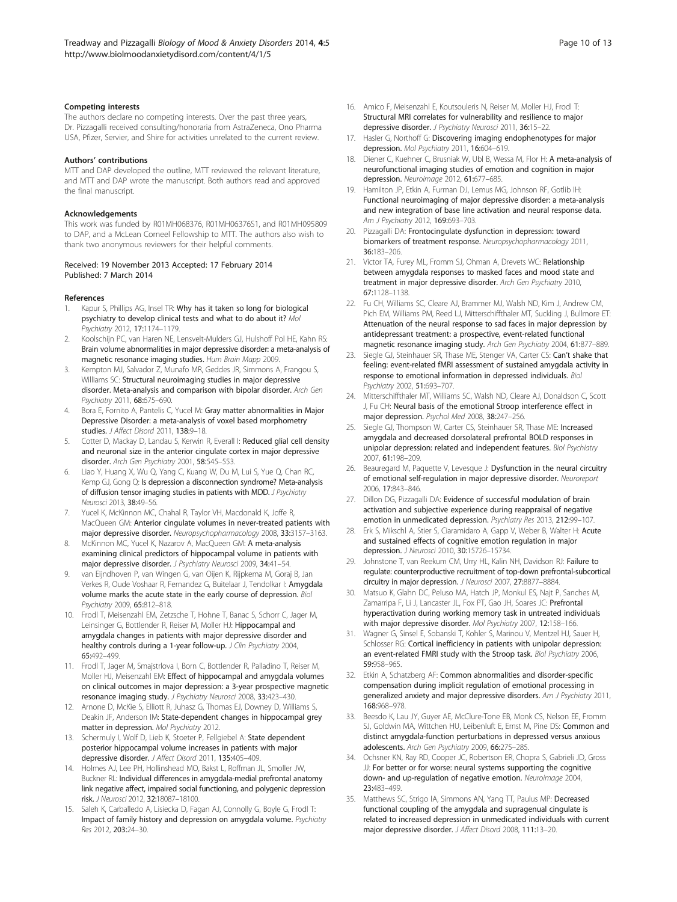#### <span id="page-9-0"></span>Competing interests

The authors declare no competing interests. Over the past three years, Dr. Pizzagalli received consulting/honoraria from AstraZeneca, Ono Pharma USA, Pfizer, Servier, and Shire for activities unrelated to the current review.

Authors' contributions

MTT and DAP developed the outline, MTT reviewed the relevant literature, and MTT and DAP wrote the manuscript. Both authors read and approved the final manuscript.

#### Acknowledgements

This work was funded by R01MH068376, R01MH06376S1, and R01MH095809 to DAP, and a McLean Corneel Fellowship to MTT. The authors also wish to thank two anonymous reviewers for their helpful comments.

#### Received: 19 November 2013 Accepted: 17 February 2014 Published: 7 March 2014

#### References

- 1. Kapur S, Phillips AG, Insel TR: Why has it taken so long for biological psychiatry to develop clinical tests and what to do about it? Mol Psychiatry 2012, 17:1174–1179.
- 2. Koolschijn PC, van Haren NE, Lensvelt-Mulders GJ, Hulshoff Pol HE, Kahn RS: Brain volume abnormalities in major depressive disorder: a meta-analysis of magnetic resonance imaging studies. Hum Brain Mapp 2009.
- Kempton MJ, Salvador Z, Munafo MR, Geddes JR, Simmons A, Frangou S, Williams SC: Structural neuroimaging studies in major depressive disorder. Meta-analysis and comparison with bipolar disorder. Arch Gen Psychiatry 2011, 68:675–690.
- 4. Bora E, Fornito A, Pantelis C, Yucel M: Gray matter abnormalities in Major Depressive Disorder: a meta-analysis of voxel based morphometry studies. J Affect Disord 2011, 138:9-18.
- Cotter D, Mackay D, Landau S, Kerwin R, Everall I: Reduced glial cell density and neuronal size in the anterior cingulate cortex in major depressive disorder. Arch Gen Psychiatry 2001, 58:545-553.
- 6. Liao Y, Huang X, Wu Q, Yang C, Kuang W, Du M, Lui S, Yue Q, Chan RC, Kemp GJ, Gong Q: Is depression a disconnection syndrome? Meta-analysis of diffusion tensor imaging studies in patients with MDD. J Psychiatry Neurosci 2013, 38:49–56.
- 7. Yucel K, McKinnon MC, Chahal R, Taylor VH, Macdonald K, Joffe R, MacQueen GM: Anterior cingulate volumes in never-treated patients with major depressive disorder. Neuropsychopharmacology 2008, 33:3157–3163.
- 8. McKinnon MC, Yucel K, Nazarov A, MacQueen GM: A meta-analysis examining clinical predictors of hippocampal volume in patients with major depressive disorder. J Psychiatry Neurosci 2009, 34:41-54.
- 9. van Eijndhoven P, van Wingen G, van Oijen K, Rijpkema M, Goraj B, Jan Verkes R, Oude Voshaar R, Fernandez G, Buitelaar J, Tendolkar I: Amygdala volume marks the acute state in the early course of depression. Biol Psychiatry 2009, 65:812–818.
- 10. Frodl T, Meisenzahl EM, Zetzsche T, Hohne T, Banac S, Schorr C, Jager M, Leinsinger G, Bottlender R, Reiser M, Moller HJ: Hippocampal and amygdala changes in patients with major depressive disorder and healthy controls during a 1-year follow-up. J Clin Psychiatry 2004, 65:492–499.
- 11. Frodl T, Jager M, Smajstrlova I, Born C, Bottlender R, Palladino T, Reiser M, Moller HJ, Meisenzahl EM: Effect of hippocampal and amygdala volumes on clinical outcomes in major depression: a 3-year prospective magnetic resonance imaging study. J Psychiatry Neurosci 2008, 33:423–430.
- 12. Arnone D, McKie S, Elliott R, Juhasz G, Thomas EJ, Downey D, Williams S, Deakin JF, Anderson IM: State-dependent changes in hippocampal grey matter in depression. Mol Psychiatry 2012.
- 13. Schermuly I, Wolf D, Lieb K, Stoeter P, Fellgiebel A: State dependent posterior hippocampal volume increases in patients with major depressive disorder. J Affect Disord 2011, 135:405–409.
- 14. Holmes AJ, Lee PH, Hollinshead MO, Bakst L, Roffman JL, Smoller JW, Buckner RL: Individual differences in amygdala-medial prefrontal anatomy link negative affect, impaired social functioning, and polygenic depression risk. J Neurosci 2012, 32:18087–18100.
- 15. Saleh K, Carballedo A, Lisiecka D, Fagan AJ, Connolly G, Boyle G, Frodl T: Impact of family history and depression on amygdala volume. Psychiatry Res 2012, 203:24–30.
- 16. Amico F, Meisenzahl E, Koutsouleris N, Reiser M, Moller HJ, Frodl T: Structural MRI correlates for vulnerability and resilience to major depressive disorder. J Psychiatry Neurosci 2011, 36:15–22.
- 17. Hasler G, Northoff G: Discovering imaging endophenotypes for major depression. Mol Psychiatry 2011, 16:604-619.
- 18. Diener C, Kuehner C, Brusniak W, Ubl B, Wessa M, Flor H: A meta-analysis of neurofunctional imaging studies of emotion and cognition in major depression. Neuroimage 2012, 61:677–685.
- 19. Hamilton JP, Etkin A, Furman DJ, Lemus MG, Johnson RF, Gotlib IH: Functional neuroimaging of major depressive disorder: a meta-analysis and new integration of base line activation and neural response data. Am J Psychiatry 2012, 169:693–703.
- 20. Pizzagalli DA: Frontocingulate dysfunction in depression: toward biomarkers of treatment response. Neuropsychopharmacology 2011, 36:183–206.
- 21. Victor TA, Furey ML, Fromm SJ, Ohman A, Drevets WC: Relationship between amygdala responses to masked faces and mood state and treatment in major depressive disorder. Arch Gen Psychiatry 2010, 67:1128–1138.
- 22. Fu CH, Williams SC, Cleare AJ, Brammer MJ, Walsh ND, Kim J, Andrew CM, Pich EM, Williams PM, Reed LJ, Mitterschiffthaler MT, Suckling J, Bullmore ET: Attenuation of the neural response to sad faces in major depression by antidepressant treatment: a prospective, event-related functional magnetic resonance imaging study. Arch Gen Psychiatry 2004, 61:877–889.
- Siegle GJ, Steinhauer SR, Thase ME, Stenger VA, Carter CS: Can't shake that feeling: event-related fMRI assessment of sustained amygdala activity in response to emotional information in depressed individuals. Biol Psychiatry 2002, 51:693–707.
- 24. Mitterschiffthaler MT, Williams SC, Walsh ND, Cleare AJ, Donaldson C, Scott J, Fu CH: Neural basis of the emotional Stroop interference effect in major depression. Psychol Med 2008, 38:247–256.
- 25. Siegle GJ, Thompson W, Carter CS, Steinhauer SR, Thase ME: Increased amygdala and decreased dorsolateral prefrontal BOLD responses in unipolar depression: related and independent features. Biol Psychiatry 2007, 61:198–209.
- 26. Beauregard M, Paquette V, Levesque J: Dysfunction in the neural circuitry of emotional self-regulation in major depressive disorder. Neuroreport 2006, 17:843–846.
- 27. Dillon DG, Pizzagalli DA: Evidence of successful modulation of brain activation and subjective experience during reappraisal of negative emotion in unmedicated depression. Psychiatry Res 2013, 212:99–107.
- 28. Erk S, Mikschl A, Stier S, Ciaramidaro A, Gapp V, Weber B, Walter H: Acute and sustained effects of cognitive emotion regulation in major depression. J Neurosci 2010, 30:15726–15734.
- 29. Johnstone T, van Reekum CM, Urry HL, Kalin NH, Davidson RJ: Failure to regulate: counterproductive recruitment of top-down prefrontal-subcortical circuitry in major depression. J Neurosci 2007, 27:8877-8884.
- 30. Matsuo K, Glahn DC, Peluso MA, Hatch JP, Monkul ES, Najt P, Sanches M, Zamarripa F, Li J, Lancaster JL, Fox PT, Gao JH, Soares JC: Prefrontal hyperactivation during working memory task in untreated individuals with major depressive disorder. Mol Psychiatry 2007, 12:158–166.
- 31. Wagner G, Sinsel E, Sobanski T, Kohler S, Marinou V, Mentzel HJ, Sauer H, Schlosser RG: Cortical inefficiency in patients with unipolar depression: an event-related FMRI study with the Stroop task. Biol Psychiatry 2006, 59:958–965.
- 32. Etkin A, Schatzberg AF: Common abnormalities and disorder-specific compensation during implicit regulation of emotional processing in generalized anxiety and major depressive disorders. Am J Psychiatry 2011, 168:968–978.
- 33. Beesdo K, Lau JY, Guyer AE, McClure-Tone EB, Monk CS, Nelson EE, Fromm SJ, Goldwin MA, Wittchen HU, Leibenluft E, Ernst M, Pine DS: Common and distinct amygdala-function perturbations in depressed versus anxious adolescents. Arch Gen Psychiatry 2009, 66:275–285.
- 34. Ochsner KN, Ray RD, Cooper JC, Robertson ER, Chopra S, Gabrieli JD, Gross JJ: For better or for worse: neural systems supporting the cognitive down- and up-regulation of negative emotion. Neuroimage 2004, 23:483–499.
- 35. Matthews SC, Strigo IA, Simmons AN, Yang TT, Paulus MP: Decreased functional coupling of the amygdala and supragenual cingulate is related to increased depression in unmedicated individuals with current major depressive disorder. J Affect Disord 2008, 111:13–20.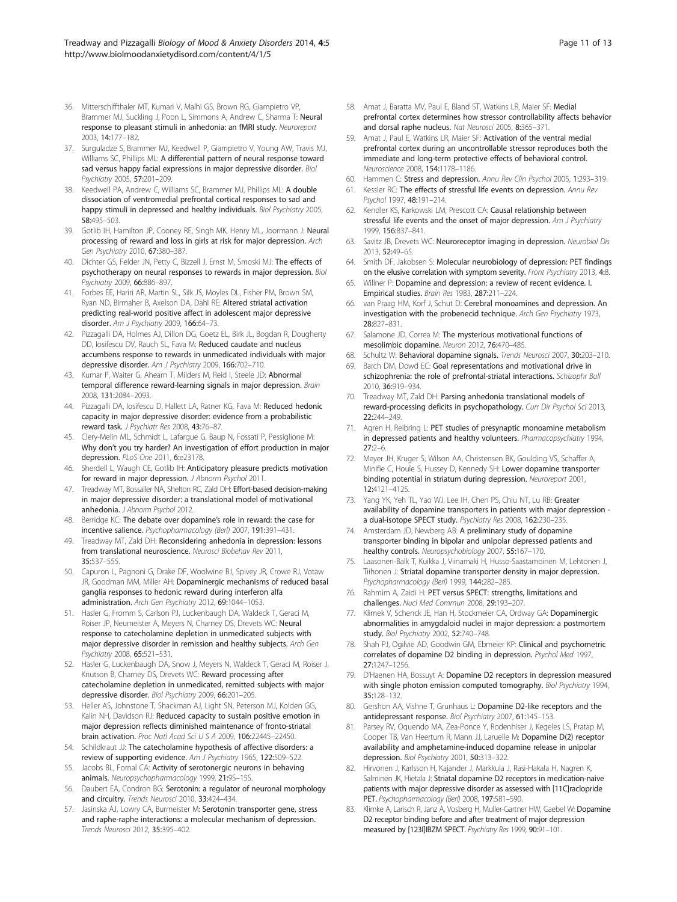- <span id="page-10-0"></span>36. Mitterschiffthaler MT, Kumari V, Malhi GS, Brown RG, Giampietro VP, Brammer MJ, Suckling J, Poon L, Simmons A, Andrew C, Sharma T: Neural response to pleasant stimuli in anhedonia: an fMRI study. Neuroreport 2003, 14:177–182.
- 37. Surguladze S, Brammer MJ, Keedwell P, Giampietro V, Young AW, Travis MJ, Williams SC, Phillips ML: A differential pattern of neural response toward sad versus happy facial expressions in major depressive disorder. Biol Psychiatry 2005, 57:201–209.
- 38. Keedwell PA, Andrew C, Williams SC, Brammer MJ, Phillips ML: A double dissociation of ventromedial prefrontal cortical responses to sad and happy stimuli in depressed and healthy individuals. Biol Psychiatry 2005, 58:495–503.
- 39. Gotlib IH, Hamilton JP, Cooney RE, Singh MK, Henry ML, Joormann J: Neural processing of reward and loss in girls at risk for major depression. Arch Gen Psychiatry 2010, 67:380–387.
- 40. Dichter GS, Felder JN, Petty C, Bizzell J, Ernst M, Smoski MJ: The effects of psychotherapy on neural responses to rewards in major depression. Biol Psychiatry 2009, 66:886–897.
- 41. Forbes EE, Hariri AR, Martin SL, Silk JS, Moyles DL, Fisher PM, Brown SM, Ryan ND, Birmaher B, Axelson DA, Dahl RE: Altered striatal activation predicting real-world positive affect in adolescent major depressive disorder. Am J Psychiatry 2009, 166:64-73.
- 42. Pizzagalli DA, Holmes AJ, Dillon DG, Goetz EL, Birk JL, Bogdan R, Dougherty DD, Iosifescu DV, Rauch SL, Fava M: Reduced caudate and nucleus accumbens response to rewards in unmedicated individuals with major depressive disorder. Am J Psychiatry 2009, 166:702-710.
- 43. Kumar P, Waiter G, Ahearn T, Milders M, Reid I, Steele JD: Abnormal temporal difference reward-learning signals in major depression. Brain 2008, 131:2084–2093.
- 44. Pizzagalli DA, Iosifescu D, Hallett LA, Ratner KG, Fava M: Reduced hedonic capacity in major depressive disorder: evidence from a probabilistic reward task. J Psychiatr Res 2008, 43:76–87.
- 45. Clery-Melin ML, Schmidt L, Lafargue G, Baup N, Fossati P, Pessiglione M: Why don't you try harder? An investigation of effort production in major depression. PLoS One 2011, 6:e23178.
- 46. Sherdell L, Waugh CE, Gotlib IH: Anticipatory pleasure predicts motivation for reward in major depression. J Abnorm Psychol 2011.
- 47. Treadway MT, Bossaller NA, Shelton RC, Zald DH: Effort-based decision-making in major depressive disorder: a translational model of motivational anhedonia. J Abnorm Psychol 2012.
- 48. Berridge KC: The debate over dopamine's role in reward: the case for incentive salience. Psychopharmacology (Berl) 2007, 191:391–431.
- 49. Treadway MT, Zald DH: Reconsidering anhedonia in depression: lessons from translational neuroscience. Neurosci Biobehav Rev 2011, 35:537–555.
- 50. Capuron L, Pagnoni G, Drake DF, Woolwine BJ, Spivey JR, Crowe RJ, Votaw JR, Goodman MM, Miller AH: Dopaminergic mechanisms of reduced basal ganglia responses to hedonic reward during interferon alfa administration. Arch Gen Psychiatry 2012, 69:1044–1053.
- 51. Hasler G, Fromm S, Carlson PJ, Luckenbaugh DA, Waldeck T, Geraci M, Roiser JP, Neumeister A, Meyers N, Charney DS, Drevets WC: Neural response to catecholamine depletion in unmedicated subjects with major depressive disorder in remission and healthy subjects. Arch Gen Psychiatry 2008, 65:521–531.
- 52. Hasler G, Luckenbaugh DA, Snow J, Meyers N, Waldeck T, Geraci M, Roiser J, Knutson B, Charney DS, Drevets WC: Reward processing after catecholamine depletion in unmedicated, remitted subjects with major depressive disorder. Biol Psychiatry 2009, 66:201-205.
- 53. Heller AS, Johnstone T, Shackman AJ, Light SN, Peterson MJ, Kolden GG, Kalin NH, Davidson RJ: Reduced capacity to sustain positive emotion in major depression reflects diminished maintenance of fronto-striatal brain activation. Proc Natl Acad Sci U S A 2009, 106:22445–22450.
- 54. Schildkraut JJ: The catecholamine hypothesis of affective disorders: a review of supporting evidence. Am J Psychiatry 1965, 122:509-522.
- 55. Jacobs BL, Fornal CA: Activity of serotonergic neurons in behaving animals. Neuropsychopharmacology 1999, 21:9S–15S.
- 56. Daubert EA, Condron BG: Serotonin: a regulator of neuronal morphology and circuitry. Trends Neurosci 2010, 33:424–434.
- 57. Jasinska AJ, Lowry CA, Burmeister M: Serotonin transporter gene, stress and raphe-raphe interactions: a molecular mechanism of depression. Trends Neurosci 2012, 35:395–402.
- 58. Amat J, Baratta MV, Paul E, Bland ST, Watkins LR, Maier SF: Medial prefrontal cortex determines how stressor controllability affects behavior and dorsal raphe nucleus. Nat Neurosci 2005, 8:365–371.
- 59. Amat J, Paul E, Watkins LR, Maier SF: Activation of the ventral medial prefrontal cortex during an uncontrollable stressor reproduces both the immediate and long-term protective effects of behavioral control. Neuroscience 2008, 154:1178–1186.
- 60. Hammen C: Stress and depression. Annu Rev Clin Psychol 2005, 1:293–319.
- 61. Kessler RC: The effects of stressful life events on depression. Annu Rev Psychol 1997, 48:191–214.
- 62. Kendler KS, Karkowski LM, Prescott CA: Causal relationship between stressful life events and the onset of major depression. Am J Psychiatry 1999, 156:837–841.
- 63. Savitz JB, Drevets WC: Neuroreceptor imaging in depression. Neurobiol Dis 2013, 52:49–65.
- 64. Smith DF, Jakobsen S: Molecular neurobiology of depression: PET findings on the elusive correlation with symptom severity. Front Psychiatry 2013, 4:8.
- Willner P: Dopamine and depression: a review of recent evidence. I. Empirical studies. Brain Res 1983, 287:211–224.
- 66. van Praag HM, Korf J, Schut D: Cerebral monoamines and depression. An investigation with the probenecid technique. Arch Gen Psychiatry 1973, 28:827–831.
- 67. Salamone JD, Correa M: The mysterious motivational functions of mesolimbic dopamine. Neuron 2012, 76:470–485.
- 68. Schultz W: Behavioral dopamine signals. Trends Neurosci 2007, 30:203–210.
- 69. Barch DM, Dowd EC: Goal representations and motivational drive in schizophrenia: the role of prefrontal-striatal interactions. Schizophr Bull 2010, 36:919–934.
- 70. Treadway MT, Zald DH: Parsing anhedonia translational models of reward-processing deficits in psychopathology. Curr Dir Psychol Sci 2013, 22:244–249.
- 71. Agren H, Reibring L: PET studies of presynaptic monoamine metabolism in depressed patients and healthy volunteers. Pharmacopsychiatry 1994, 27:2–6.
- 72. Meyer JH, Kruger S, Wilson AA, Christensen BK, Goulding VS, Schaffer A, Minifie C, Houle S, Hussey D, Kennedy SH: Lower dopamine transporter binding potential in striatum during depression. Neuroreport 2001, 12:4121–4125.
- 73. Yang YK, Yeh TL, Yao WJ, Lee IH, Chen PS, Chiu NT, Lu RB: Greater availability of dopamine transporters in patients with major depression a dual-isotope SPECT study. Psychiatry Res 2008, 162:230–235.
- 74. Amsterdam JD, Newberg AB: A preliminary study of dopamine transporter binding in bipolar and unipolar depressed patients and healthy controls. Neuropsychobiology 2007, 55:167–170.
- 75. Laasonen-Balk T, Kuikka J, Viinamaki H, Husso-Saastamoinen M, Lehtonen J, Tiihonen J: Striatal dopamine transporter density in major depression. Psychopharmacology (Berl) 1999, 144:282–285.
- 76. Rahmim A, Zaidi H: PET versus SPECT: strengths, limitations and challenges. Nucl Med Commun 2008, 29:193–207.
- 77. Klimek V, Schenck JE, Han H, Stockmeier CA, Ordway GA: Dopaminergic abnormalities in amygdaloid nuclei in major depression: a postmortem study. Biol Psychiatry 2002, 52:740–748.
- 78. Shah PJ, Ogilvie AD, Goodwin GM, Ebmeier KP: Clinical and psychometric correlates of dopamine D2 binding in depression. Psychol Med 1997, 27:1247–1256.
- 79. D'Haenen HA, Bossuyt A: Dopamine D2 receptors in depression measured with single photon emission computed tomography. Biol Psychiatry 1994, 35:128–132.
- 80. Gershon AA, Vishne T, Grunhaus L: Dopamine D2-like receptors and the antidepressant response. Biol Psychiatry 2007, 61:145–153.
- 81. Parsey RV, Oquendo MA, Zea-Ponce Y, Rodenhiser J, Kegeles LS, Pratap M, Cooper TB, Van Heertum R, Mann JJ, Laruelle M: Dopamine D(2) receptor availability and amphetamine-induced dopamine release in unipolar depression. Biol Psychiatry 2001, 50:313–322.
- 82. Hirvonen J, Karlsson H, Kajander J, Markkula J, Rasi-Hakala H, Nagren K, Salminen JK, Hietala J: Striatal dopamine D2 receptors in medication-naive patients with major depressive disorder as assessed with [11C]raclopride PET. Psychopharmacology (Berl) 2008, 197:581-590.
- 83. Klimke A, Larisch R, Janz A, Vosberg H, Muller-Gartner HW, Gaebel W: Dopamine D2 receptor binding before and after treatment of major depression measured by [123I]IBZM SPECT. Psychiatry Res 1999, 90:91–101.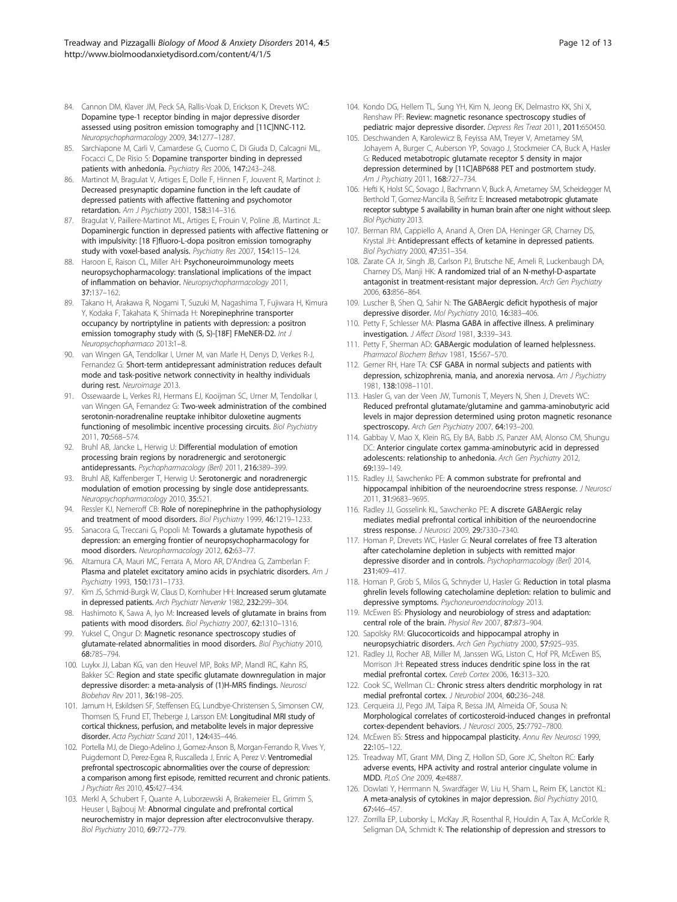- <span id="page-11-0"></span>84. Cannon DM, Klaver JM, Peck SA, Rallis-Voak D, Erickson K, Drevets WC: Dopamine type-1 receptor binding in major depressive disorder assessed using positron emission tomography and [11C]NNC-112. Neuropsychopharmacology 2009, 34:1277–1287.
- 85. Sarchiapone M, Carli V, Camardese G, Cuomo C, Di Giuda D, Calcagni ML, Focacci C, De Risio S: Dopamine transporter binding in depressed patients with anhedonia. Psychiatry Res 2006, 147:243-248.
- 86. Martinot M, Bragulat V, Artiges E, Dolle F, Hinnen F, Jouvent R, Martinot J: Decreased presynaptic dopamine function in the left caudate of depressed patients with affective flattening and psychomotor retardation. Am J Psychiatry 2001, 158:314–316.
- 87. Bragulat V, Paillere-Martinot ML, Artiges E, Frouin V, Poline JB, Martinot JL: Dopaminergic function in depressed patients with affective flattening or with impulsivity: [18 F]fluoro-L-dopa positron emission tomography study with voxel-based analysis. Psychiatry Res 2007, 154:115–124.
- 88. Haroon E, Raison CL, Miller AH: Psychoneuroimmunology meets neuropsychopharmacology: translational implications of the impact of inflammation on behavior. Neuropsychopharmacology 2011, 37:137–162.
- 89. Takano H, Arakawa R, Nogami T, Suzuki M, Nagashima T, Fujiwara H, Kimura Y, Kodaka F, Takahata K, Shimada H: Norepinephrine transporter occupancy by nortriptyline in patients with depression: a positron emission tomography study with (S, S)-[18F] FMeNER-D2. Int J Neuropsychopharmaco 2013:1–8.
- 90. van Wingen GA, Tendolkar I, Urner M, van Marle H, Denys D, Verkes R-J, Fernandez G: Short-term antidepressant administration reduces default mode and task-positive network connectivity in healthy individuals during rest. Neuroimage 2013.
- 91. Ossewaarde L, Verkes RJ, Hermans EJ, Kooijman SC, Urner M, Tendolkar I, van Wingen GA, Fernandez G: Two-week administration of the combined serotonin-noradrenaline reuptake inhibitor duloxetine augments functioning of mesolimbic incentive processing circuits. Biol Psychiatry 2011, 70:568–574.
- 92. Bruhl AB, Jancke L, Herwig U: Differential modulation of emotion processing brain regions by noradrenergic and serotonergic antidepressants. Psychopharmacology (Berl) 2011, 216:389-399.
- 93. Bruhl AB, Kaffenberger T, Herwig U: Serotonergic and noradrenergic modulation of emotion processing by single dose antidepressants. Neuropsychopharmacology 2010, 35:521.
- 94. Ressler KJ, Nemeroff CB: Role of norepinephrine in the pathophysiology and treatment of mood disorders. Biol Psychiatry 1999, 46:1219–1233.
- 95. Sanacora G, Treccani G, Popoli M: Towards a glutamate hypothesis of depression: an emerging frontier of neuropsychopharmacology for mood disorders. Neuropharmacology 2012, 62:63–77.
- 96. Altamura CA, Mauri MC, Ferrara A, Moro AR, D'Andrea G, Zamberlan F: Plasma and platelet excitatory amino acids in psychiatric disorders. Am J Psychiatry 1993, 150:1731–1733.
- 97. Kim JS, Schmid-Burgk W, Claus D, Kornhuber HH: Increased serum glutamate in depressed patients. Arch Psychiatr Nervenkr 1982, 232:299–304.
- 98. Hashimoto K, Sawa A, Iyo M: Increased levels of glutamate in brains from patients with mood disorders. Biol Psychiatry 2007, 62:1310–1316.
- 99. Yuksel C, Ongur D: Magnetic resonance spectroscopy studies of glutamate-related abnormalities in mood disorders. Biol Psychiatry 2010, 68:785–794.
- 100. Luykx JJ, Laban KG, van den Heuvel MP, Boks MP, Mandl RC, Kahn RS, Bakker SC: Region and state specific glutamate downregulation in major depressive disorder: a meta-analysis of (1)H-MRS findings. Neurosci Biobehav Rev 2011, 36:198–205.
- 101. Jarnum H, Eskildsen SF, Steffensen EG, Lundbye-Christensen S, Simonsen CW, Thomsen IS, Frund ET, Theberge J, Larsson EM: Longitudinal MRI study of cortical thickness, perfusion, and metabolite levels in major depressive disorder. Acta Psychiatr Scand 2011, 124:435-446.
- 102. Portella MJ, de Diego-Adelino J, Gomez-Anson B, Morgan-Ferrando R, Vives Y, Puigdemont D, Perez-Egea R, Ruscalleda J, Enric A, Perez V: Ventromedial prefrontal spectroscopic abnormalities over the course of depression: a comparison among first episode, remitted recurrent and chronic patients. J Psychiatr Res 2010, 45:427–434.
- 103. Merkl A, Schubert F, Quante A, Luborzewski A, Brakemeier EL, Grimm S, Heuser I, Bajbouj M: Abnormal cingulate and prefrontal cortical neurochemistry in major depression after electroconvulsive therapy. Biol Psychiatry 2010, 69:772–779.
- 104. Kondo DG, Hellem TL, Sung YH, Kim N, Jeong EK, Delmastro KK, Shi X, Renshaw PF: Review: magnetic resonance spectroscopy studies of pediatric major depressive disorder. Depress Res Treat 2011, 2011:650450.
- 105. Deschwanden A, Karolewicz B, Feyissa AM, Treyer V, Ametamey SM, Johayem A, Burger C, Auberson YP, Sovago J, Stockmeier CA, Buck A, Hasler G: Reduced metabotropic glutamate receptor 5 density in major depression determined by [11C]ABP688 PET and postmortem study. Am J Psychiatry 2011, 168:727–734.
- 106. Hefti K, Holst SC, Sovago J, Bachmann V, Buck A, Ametamey SM, Scheidegger M, Berthold T, Gomez-Mancilla B, Seifritz E: Increased metabotropic glutamate receptor subtype 5 availability in human brain after one night without sleep. Biol Psychiatry 2013.
- 107. Berman RM, Cappiello A, Anand A, Oren DA, Heninger GR, Charney DS, Krystal JH: Antidepressant effects of ketamine in depressed patients. Biol Psychiatry 2000, 47:351–354.
- 108. Zarate CA Jr, Singh JB, Carlson PJ, Brutsche NE, Ameli R, Luckenbaugh DA, Charney DS, Manji HK: A randomized trial of an N-methyl-D-aspartate antagonist in treatment-resistant major depression. Arch Gen Psychiatry 2006, 63:856–864.
- 109. Luscher B, Shen Q, Sahir N: The GABAergic deficit hypothesis of major depressive disorder. Mol Psychiatry 2010, 16:383-406
- 110. Petty F, Schlesser MA: Plasma GABA in affective illness. A preliminary investigation. J Affect Disord 1981, 3:339–343.
- 111. Petty F, Sherman AD: GABAergic modulation of learned helplessness. Pharmacol Biochem Behav 1981, 15:567–570.
- 112. Gerner RH, Hare TA: CSF GABA in normal subjects and patients with depression, schizophrenia, mania, and anorexia nervosa. Am J Psychiatry 1981, 138:1098–1101.
- 113. Hasler G, van der Veen JW, Tumonis T, Meyers N, Shen J, Drevets WC: Reduced prefrontal glutamate/glutamine and gamma-aminobutyric acid levels in major depression determined using proton magnetic resonance spectroscopy. Arch Gen Psychiatry 2007, 64:193-200.
- 114. Gabbay V, Mao X, Klein RG, Ely BA, Babb JS, Panzer AM, Alonso CM, Shungu DC: Anterior cingulate cortex gamma-aminobutyric acid in depressed adolescents: relationship to anhedonia. Arch Gen Psychiatry 2012, 69:139–149.
- 115. Radley JJ, Sawchenko PE: A common substrate for prefrontal and hippocampal inhibition of the neuroendocrine stress response. J Neurosci 2011, 31:9683–9695.
- 116. Radley JJ, Gosselink KL, Sawchenko PE: A discrete GABAergic relay mediates medial prefrontal cortical inhibition of the neuroendocrine stress response. J Neurosci 2009, 29:7330–7340.
- 117. Homan P, Drevets WC, Hasler G: Neural correlates of free T3 alteration after catecholamine depletion in subjects with remitted major depressive disorder and in controls. Psychopharmacology (Berl) 2014, 231:409–417.
- 118. Homan P, Grob S, Milos G, Schnyder U, Hasler G: Reduction in total plasma ghrelin levels following catecholamine depletion: relation to bulimic and depressive symptoms. Psychoneuroendocrinology 2013.
- 119. McEwen BS: Physiology and neurobiology of stress and adaptation: central role of the brain. Physiol Rev 2007, 87:873–904.
- 120. Sapolsky RM: Glucocorticoids and hippocampal atrophy in neuropsychiatric disorders. Arch Gen Psychiatry 2000, 57:925–935.
- 121. Radley JJ, Rocher AB, Miller M, Janssen WG, Liston C, Hof PR, McEwen BS, Morrison JH: Repeated stress induces dendritic spine loss in the rat medial prefrontal cortex. Cereb Cortex 2006, 16:313–320.
- 122. Cook SC, Wellman CL: Chronic stress alters dendritic morphology in rat medial prefrontal cortex. J Neurobiol 2004, 60:236–248.
- 123. Cerqueira JJ, Pego JM, Taipa R, Bessa JM, Almeida OF, Sousa N: Morphological correlates of corticosteroid-induced changes in prefrontal cortex-dependent behaviors. J Neurosci 2005, 25:7792–7800.
- 124. McEwen BS: Stress and hippocampal plasticity. Annu Rev Neurosci 1999, 22:105–122.
- 125. Treadway MT, Grant MM, Ding Z, Hollon SD, Gore JC, Shelton RC: Early adverse events, HPA activity and rostral anterior cingulate volume in MDD. PLoS One 2009, 4:e4887.
- 126. Dowlati Y, Herrmann N, Swardfager W, Liu H, Sham L, Reim EK, Lanctot KL: A meta-analysis of cytokines in major depression. Biol Psychiatry 2010, 67:446–457.
- 127. Zorrilla EP, Luborsky L, McKay JR, Rosenthal R, Houldin A, Tax A, McCorkle R, Seligman DA, Schmidt K: The relationship of depression and stressors to